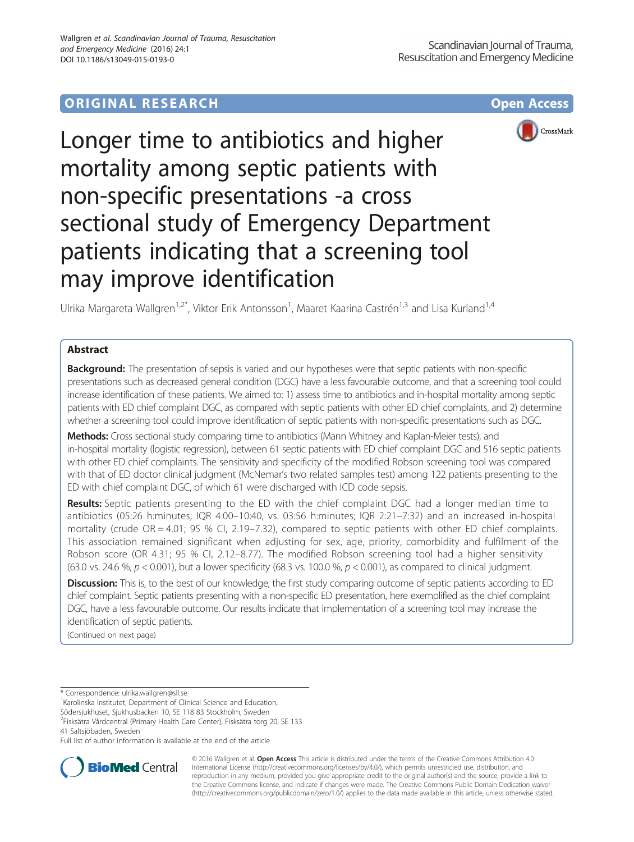# **ORIGINAL RESEARCH CONSUMING ACCESS**



# Longer time to antibiotics and higher mortality among septic patients with non-specific presentations -a cross sectional study of Emergency Department patients indicating that a screening tool may improve identification

Ulrika Margareta Wallgren<sup>1,2\*</sup>, Viktor Erik Antonsson<sup>1</sup>, Maaret Kaarina Castrén<sup>1,3</sup> and Lisa Kurland<sup>1,4</sup>

# Abstract

Background: The presentation of sepsis is varied and our hypotheses were that septic patients with non-specific presentations such as decreased general condition (DGC) have a less favourable outcome, and that a screening tool could increase identification of these patients. We aimed to: 1) assess time to antibiotics and in-hospital mortality among septic patients with ED chief complaint DGC, as compared with septic patients with other ED chief complaints, and 2) determine whether a screening tool could improve identification of septic patients with non-specific presentations such as DGC.

Methods: Cross sectional study comparing time to antibiotics (Mann Whitney and Kaplan-Meier tests), and in-hospital mortality (logistic regression), between 61 septic patients with ED chief complaint DGC and 516 septic patients with other ED chief complaints. The sensitivity and specificity of the modified Robson screening tool was compared with that of ED doctor clinical judgment (McNemar's two related samples test) among 122 patients presenting to the ED with chief complaint DGC, of which 61 were discharged with ICD code sepsis.

Results: Septic patients presenting to the ED with the chief complaint DGC had a longer median time to antibiotics (05:26 h:minutes; IQR 4:00–10:40, vs. 03:56 h:minutes; IQR 2:21–7:32) and an increased in-hospital mortality (crude OR = 4.01; 95 % Cl, 2.19–7.32), compared to septic patients with other ED chief complaints. This association remained significant when adjusting for sex, age, priority, comorbidity and fulfilment of the Robson score (OR 4.31; 95 % CI, 2.12–8.77). The modified Robson screening tool had a higher sensitivity (63.0 vs. 24.6 %,  $p < 0.001$ ), but a lower specificity (68.3 vs. 100.0 %,  $p < 0.001$ ), as compared to clinical judgment.

Discussion: This is, to the best of our knowledge, the first study comparing outcome of septic patients according to ED chief complaint. Septic patients presenting with a non-specific ED presentation, here exemplified as the chief complaint DGC, have a less favourable outcome. Our results indicate that implementation of a screening tool may increase the identification of septic patients.

(Continued on next page)

\* Correspondence: [ulrika.wallgren@sll.se](mailto:ulrika.wallgren@sll.se) <sup>1</sup>

<sup>1</sup> Karolinska Institutet, Department of Clinical Science and Education,

Södersjukhuset, Sjukhusbacken 10, SE 118 83 Stockholm, Sweden

<sup>2</sup>Fisksätra Vårdcentral (Primary Health Care Center), Fisksätra torg 20, SE 133 41 Saltsjöbaden, Sweden

Full list of author information is available at the end of the article



© 2016 Wallgren et al. Open Access This article is distributed under the terms of the Creative Commons Attribution 4.0 International License [\(http://creativecommons.org/licenses/by/4.0/](http://creativecommons.org/licenses/by/4.0/)), which permits unrestricted use, distribution, and reproduction in any medium, provided you give appropriate credit to the original author(s) and the source, provide a link to the Creative Commons license, and indicate if changes were made. The Creative Commons Public Domain Dedication waiver [\(http://creativecommons.org/publicdomain/zero/1.0/](http://creativecommons.org/publicdomain/zero/1.0/)) applies to the data made available in this article, unless otherwise stated.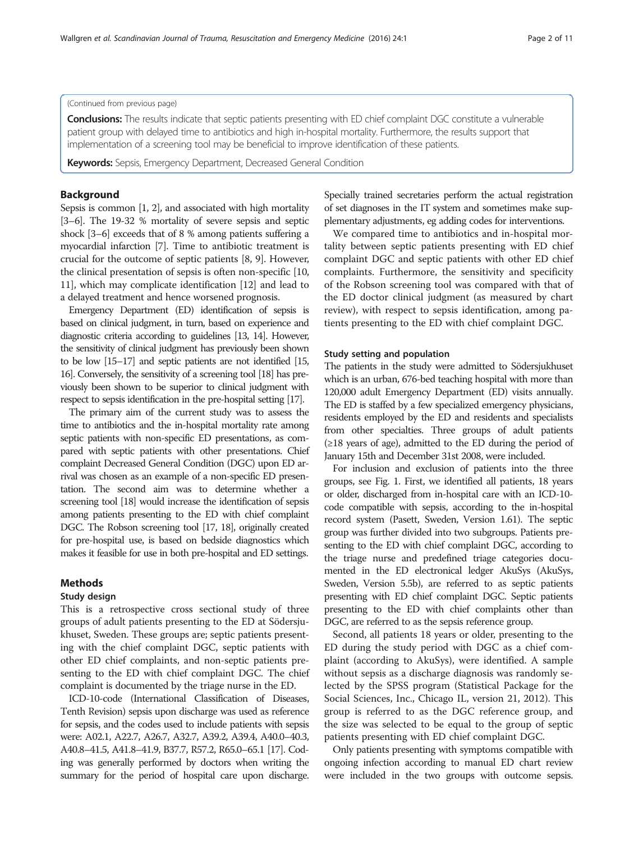Conclusions: The results indicate that septic patients presenting with ED chief complaint DGC constitute a vulnerable patient group with delayed time to antibiotics and high in-hospital mortality. Furthermore, the results support that implementation of a screening tool may be beneficial to improve identification of these patients.

Keywords: Sepsis, Emergency Department, Decreased General Condition

#### Background

Sepsis is common [\[1, 2](#page-9-0)], and associated with high mortality [[3](#page-9-0)–[6\]](#page-9-0). The 19-32 % mortality of severe sepsis and septic shock [\[3](#page-9-0)–[6](#page-9-0)] exceeds that of 8 % among patients suffering a myocardial infarction [[7](#page-9-0)]. Time to antibiotic treatment is crucial for the outcome of septic patients [\[8, 9\]](#page-9-0). However, the clinical presentation of sepsis is often non-specific [[10](#page-9-0), [11](#page-9-0)], which may complicate identification [\[12\]](#page-9-0) and lead to a delayed treatment and hence worsened prognosis.

Emergency Department (ED) identification of sepsis is based on clinical judgment, in turn, based on experience and diagnostic criteria according to guidelines [\[13](#page-10-0), [14\]](#page-10-0). However, the sensitivity of clinical judgment has previously been shown to be low [[15](#page-10-0)–[17](#page-10-0)] and septic patients are not identified [\[15](#page-10-0), [16\]](#page-10-0). Conversely, the sensitivity of a screening tool [\[18](#page-10-0)] has previously been shown to be superior to clinical judgment with respect to sepsis identification in the pre-hospital setting [\[17](#page-10-0)].

The primary aim of the current study was to assess the time to antibiotics and the in-hospital mortality rate among septic patients with non-specific ED presentations, as compared with septic patients with other presentations. Chief complaint Decreased General Condition (DGC) upon ED arrival was chosen as an example of a non-specific ED presentation. The second aim was to determine whether a screening tool [\[18](#page-10-0)] would increase the identification of sepsis among patients presenting to the ED with chief complaint DGC. The Robson screening tool [\[17](#page-10-0), [18\]](#page-10-0), originally created for pre-hospital use, is based on bedside diagnostics which makes it feasible for use in both pre-hospital and ED settings.

#### Methods

#### Study design

This is a retrospective cross sectional study of three groups of adult patients presenting to the ED at Södersjukhuset, Sweden. These groups are; septic patients presenting with the chief complaint DGC, septic patients with other ED chief complaints, and non-septic patients presenting to the ED with chief complaint DGC. The chief complaint is documented by the triage nurse in the ED.

ICD-10-code (International Classification of Diseases, Tenth Revision) sepsis upon discharge was used as reference for sepsis, and the codes used to include patients with sepsis were: A02.1, A22.7, A26.7, A32.7, A39.2, A39.4, A40.0–40.3, A40.8–41.5, A41.8–41.9, B37.7, R57.2, R65.0–65.1 [\[17](#page-10-0)]. Coding was generally performed by doctors when writing the summary for the period of hospital care upon discharge. Specially trained secretaries perform the actual registration of set diagnoses in the IT system and sometimes make supplementary adjustments, eg adding codes for interventions.

We compared time to antibiotics and in-hospital mortality between septic patients presenting with ED chief complaint DGC and septic patients with other ED chief complaints. Furthermore, the sensitivity and specificity of the Robson screening tool was compared with that of the ED doctor clinical judgment (as measured by chart review), with respect to sepsis identification, among patients presenting to the ED with chief complaint DGC.

#### Study setting and population

The patients in the study were admitted to Södersjukhuset which is an urban, 676-bed teaching hospital with more than 120,000 adult Emergency Department (ED) visits annually. The ED is staffed by a few specialized emergency physicians, residents employed by the ED and residents and specialists from other specialties. Three groups of adult patients  $(\geq 18$  years of age), admitted to the ED during the period of January 15th and December 31st 2008, were included.

For inclusion and exclusion of patients into the three groups, see Fig. [1.](#page-2-0) First, we identified all patients, 18 years or older, discharged from in-hospital care with an ICD-10 code compatible with sepsis, according to the in-hospital record system (Pasett, Sweden, Version 1.61). The septic group was further divided into two subgroups. Patients presenting to the ED with chief complaint DGC, according to the triage nurse and predefined triage categories documented in the ED electronical ledger AkuSys (AkuSys, Sweden, Version 5.5b), are referred to as septic patients presenting with ED chief complaint DGC. Septic patients presenting to the ED with chief complaints other than DGC, are referred to as the sepsis reference group.

Second, all patients 18 years or older, presenting to the ED during the study period with DGC as a chief complaint (according to AkuSys), were identified. A sample without sepsis as a discharge diagnosis was randomly selected by the SPSS program (Statistical Package for the Social Sciences, Inc., Chicago IL, version 21, 2012). This group is referred to as the DGC reference group, and the size was selected to be equal to the group of septic patients presenting with ED chief complaint DGC.

Only patients presenting with symptoms compatible with ongoing infection according to manual ED chart review were included in the two groups with outcome sepsis.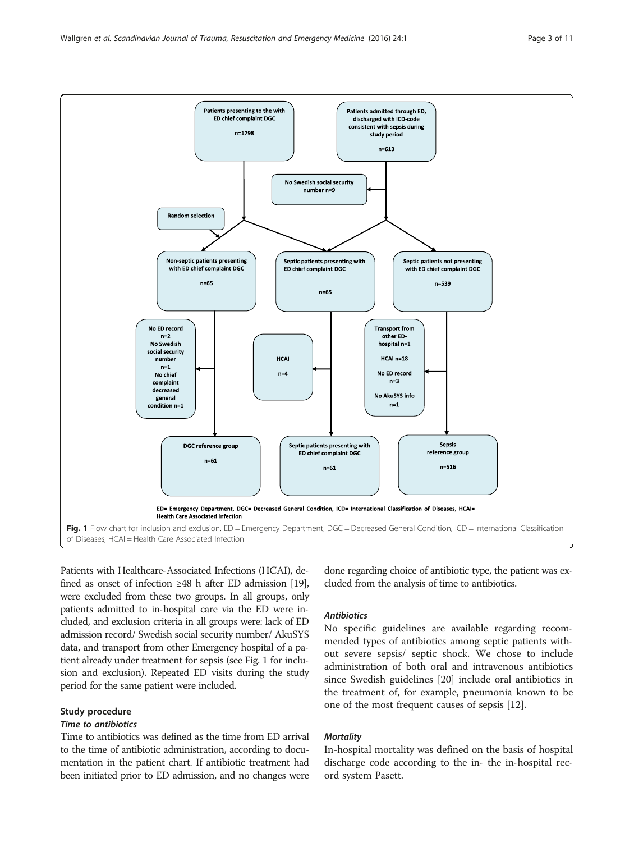<span id="page-2-0"></span>

Patients with Healthcare-Associated Infections (HCAI), defined as onset of infection ≥48 h after ED admission [\[19](#page-10-0)], were excluded from these two groups. In all groups, only patients admitted to in-hospital care via the ED were included, and exclusion criteria in all groups were: lack of ED admission record/ Swedish social security number/ AkuSYS data, and transport from other Emergency hospital of a patient already under treatment for sepsis (see Fig. 1 for inclusion and exclusion). Repeated ED visits during the study period for the same patient were included.

#### Study procedure

#### Time to antibiotics

Time to antibiotics was defined as the time from ED arrival to the time of antibiotic administration, according to documentation in the patient chart. If antibiotic treatment had been initiated prior to ED admission, and no changes were done regarding choice of antibiotic type, the patient was excluded from the analysis of time to antibiotics.

# Antibiotics

No specific guidelines are available regarding recommended types of antibiotics among septic patients without severe sepsis/ septic shock. We chose to include administration of both oral and intravenous antibiotics since Swedish guidelines [\[20\]](#page-10-0) include oral antibiotics in the treatment of, for example, pneumonia known to be one of the most frequent causes of sepsis [[12](#page-9-0)].

#### **Mortality**

In-hospital mortality was defined on the basis of hospital discharge code according to the in- the in-hospital record system Pasett.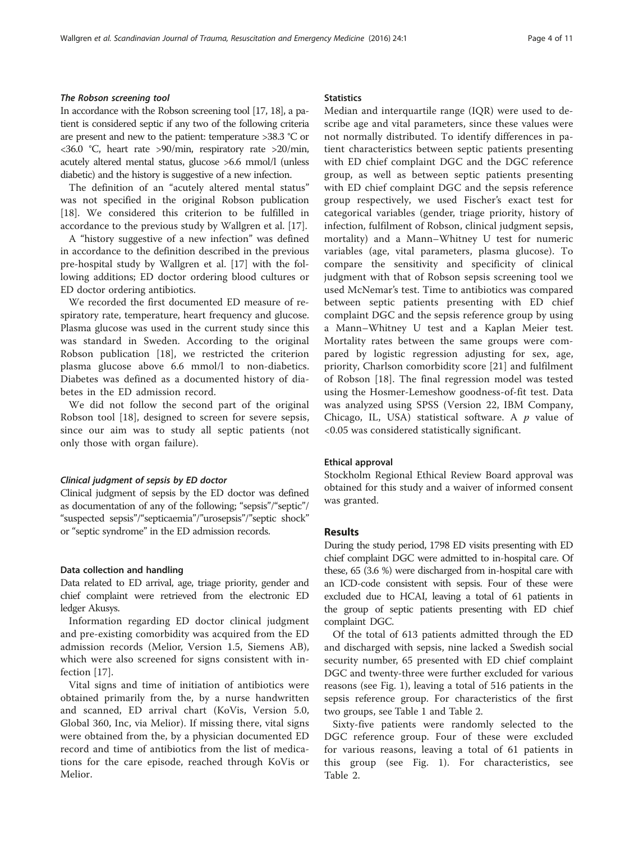#### The Robson screening tool

In accordance with the Robson screening tool [\[17](#page-10-0), [18](#page-10-0)], a patient is considered septic if any two of the following criteria are present and new to the patient: temperature >38.3 °C or <36.0 °C, heart rate >90/min, respiratory rate >20/min, acutely altered mental status, glucose >6.6 mmol/l (unless diabetic) and the history is suggestive of a new infection.

The definition of an "acutely altered mental status" was not specified in the original Robson publication [[18\]](#page-10-0). We considered this criterion to be fulfilled in accordance to the previous study by Wallgren et al. [[17](#page-10-0)].

A "history suggestive of a new infection" was defined in accordance to the definition described in the previous pre-hospital study by Wallgren et al. [[17\]](#page-10-0) with the following additions; ED doctor ordering blood cultures or ED doctor ordering antibiotics.

We recorded the first documented ED measure of respiratory rate, temperature, heart frequency and glucose. Plasma glucose was used in the current study since this was standard in Sweden. According to the original Robson publication [\[18](#page-10-0)], we restricted the criterion plasma glucose above 6.6 mmol/l to non-diabetics. Diabetes was defined as a documented history of diabetes in the ED admission record.

We did not follow the second part of the original Robson tool [\[18](#page-10-0)], designed to screen for severe sepsis, since our aim was to study all septic patients (not only those with organ failure).

# Clinical judgment of sepsis by ED doctor

Clinical judgment of sepsis by the ED doctor was defined as documentation of any of the following; "sepsis"/"septic"/ "suspected sepsis"/"septicaemia"/"urosepsis"/"septic shock" or "septic syndrome" in the ED admission records.

### Data collection and handling

Data related to ED arrival, age, triage priority, gender and chief complaint were retrieved from the electronic ED ledger Akusys.

Information regarding ED doctor clinical judgment and pre-existing comorbidity was acquired from the ED admission records (Melior, Version 1.5, Siemens AB), which were also screened for signs consistent with infection [\[17](#page-10-0)].

Vital signs and time of initiation of antibiotics were obtained primarily from the, by a nurse handwritten and scanned, ED arrival chart (KoVis, Version 5.0, Global 360, Inc, via Melior). If missing there, vital signs were obtained from the, by a physician documented ED record and time of antibiotics from the list of medications for the care episode, reached through KoVis or Melior.

## **Statistics**

Median and interquartile range (IQR) were used to describe age and vital parameters, since these values were not normally distributed. To identify differences in patient characteristics between septic patients presenting with ED chief complaint DGC and the DGC reference group, as well as between septic patients presenting with ED chief complaint DGC and the sepsis reference group respectively, we used Fischer's exact test for categorical variables (gender, triage priority, history of infection, fulfilment of Robson, clinical judgment sepsis, mortality) and a Mann–Whitney U test for numeric variables (age, vital parameters, plasma glucose). To compare the sensitivity and specificity of clinical judgment with that of Robson sepsis screening tool we used McNemar's test. Time to antibiotics was compared between septic patients presenting with ED chief complaint DGC and the sepsis reference group by using a Mann–Whitney U test and a Kaplan Meier test. Mortality rates between the same groups were compared by logistic regression adjusting for sex, age, priority, Charlson comorbidity score [\[21](#page-10-0)] and fulfilment of Robson [\[18](#page-10-0)]. The final regression model was tested using the Hosmer-Lemeshow goodness-of-fit test. Data was analyzed using SPSS (Version 22, IBM Company, Chicago, IL, USA) statistical software. A  $p$  value of <0.05 was considered statistically significant.

#### Ethical approval

Stockholm Regional Ethical Review Board approval was obtained for this study and a waiver of informed consent was granted.

#### Results

During the study period, 1798 ED visits presenting with ED chief complaint DGC were admitted to in-hospital care. Of these, 65 (3.6 %) were discharged from in-hospital care with an ICD-code consistent with sepsis. Four of these were excluded due to HCAI, leaving a total of 61 patients in the group of septic patients presenting with ED chief complaint DGC.

Of the total of 613 patients admitted through the ED and discharged with sepsis, nine lacked a Swedish social security number, 65 presented with ED chief complaint DGC and twenty-three were further excluded for various reasons (see Fig. [1](#page-2-0)), leaving a total of 516 patients in the sepsis reference group. For characteristics of the first two groups, see Table [1](#page-4-0) and Table [2.](#page-5-0)

Sixty-five patients were randomly selected to the DGC reference group. Four of these were excluded for various reasons, leaving a total of 61 patients in this group (see Fig. [1\)](#page-2-0). For characteristics, see Table [2](#page-5-0).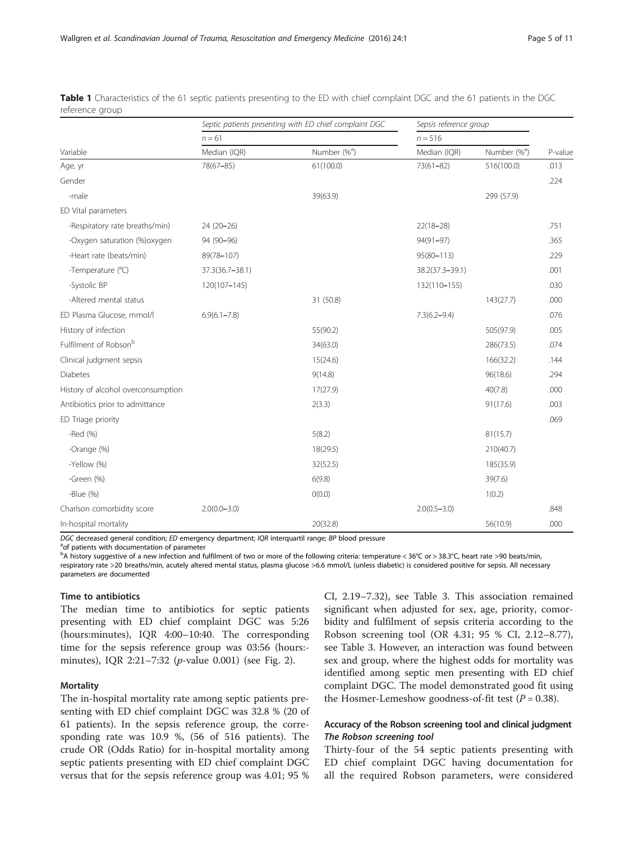|                                    |                  | Septic patients presenting with ED chief complaint DGC | Sepsis reference group |                          |         |
|------------------------------------|------------------|--------------------------------------------------------|------------------------|--------------------------|---------|
|                                    | $n = 61$         |                                                        | $n = 516$              |                          |         |
| Variable                           | Median (IQR)     | Number (% <sup>a</sup> )                               | Median (IQR)           | Number (% <sup>a</sup> ) | P-value |
| Age, yr                            | 78(67-85)        | 61(100.0)                                              | $73(61 - 82)$          | 516(100.0)               | .013    |
| Gender                             |                  |                                                        |                        |                          | .224    |
| -male                              |                  | 39(63.9)                                               |                        | 299 (57.9)               |         |
| ED Vital parameters                |                  |                                                        |                        |                          |         |
| -Respiratory rate breaths/min)     | $24(20-26)$      |                                                        | $22(18 - 28)$          |                          | .751    |
| -Oxygen saturation (%)oxygen       | 94 (90-96)       |                                                        | $94(91 - 97)$          |                          | .365    |
| -Heart rate (beats/min)            | 89(78-107)       |                                                        | $95(80 - 113)$         |                          | .229    |
| -Temperature (°C)                  | 37.3(36.7-38.1)  |                                                        | 38.2(37.3-39.1)        |                          | .001    |
| -Systolic BP                       | 120(107-145)     |                                                        | 132(110-155)           |                          | .030    |
| -Altered mental status             |                  | 31 (50.8)                                              |                        | 143(27.7)                | .000    |
| ED Plasma Glucose, mmol/l          | $6.9(6.1 - 7.8)$ |                                                        | $7.3(6.2 - 9.4)$       |                          | .076    |
| History of infection               |                  | 55(90.2)                                               |                        | 505(97.9)                | .005    |
| Fulfilment of Robson <sup>b</sup>  |                  | 34(63.0)                                               |                        | 286(73.5)                | .074    |
| Clinical judgment sepsis           |                  | 15(24.6)                                               |                        | 166(32.2)                | .144    |
| <b>Diabetes</b>                    |                  | 9(14.8)                                                |                        | 96(18.6)                 | .294    |
| History of alcohol overconsumption |                  | 17(27.9)                                               |                        | 40(7.8)                  | .000    |
| Antibiotics prior to admittance    |                  | 2(3.3)                                                 |                        | 91(17.6)                 | .003    |
| ED Triage priority                 |                  |                                                        |                        |                          | .069    |
| -Red $(\%)$                        |                  | 5(8.2)                                                 |                        | 81(15.7)                 |         |
| -Orange (%)                        |                  | 18(29.5)                                               |                        | 210(40.7)                |         |
| -Yellow (%)                        |                  | 32(52.5)                                               |                        | 185(35.9)                |         |
| -Green (%)                         |                  | 6(9.8)                                                 |                        | 39(7.6)                  |         |
| -Blue $(%)$                        |                  | O(0.0)                                                 |                        | 1(0.2)                   |         |
| Charlson comorbidity score         | $2.0(0.0 - 3.0)$ |                                                        | $2.0(0.5 - 3.0)$       |                          | .848    |
| In-hospital mortality              |                  | 20(32.8)                                               |                        | 56(10.9)                 | .000    |

<span id="page-4-0"></span>Table 1 Characteristics of the 61 septic patients presenting to the ED with chief complaint DGC and the 61 patients in the DGC reference group

DGC decreased general condition; ED emergency department; IQR interquartil range; BP blood pressure

<sup>a</sup>of patients with documentation of parameter

b A history suggestive of a new infection and fulfilment of two or more of the following criteria: temperature < 36°C or > 38.3°C, heart rate >90 beats/min, respiratory rate >20 breaths/min, acutely altered mental status, plasma glucose >6.6 mmol/L (unless diabetic) is considered positive for sepsis. All necessary parameters are documented

#### Time to antibiotics

The median time to antibiotics for septic patients presenting with ED chief complaint DGC was 5:26 (hours:minutes), IQR 4:00–10:40. The corresponding time for the sepsis reference group was 03:56 (hours: minutes), IQR 2:21–7:32 (p-value 0.001) (see Fig. [2](#page-6-0)).

#### **Mortality**

The in-hospital mortality rate among septic patients presenting with ED chief complaint DGC was 32.8 % (20 of 61 patients). In the sepsis reference group, the corresponding rate was 10.9 %, (56 of 516 patients). The crude OR (Odds Ratio) for in-hospital mortality among septic patients presenting with ED chief complaint DGC versus that for the sepsis reference group was 4.01; 95 %

CI, 2.19–7.32), see Table [3.](#page-7-0) This association remained significant when adjusted for sex, age, priority, comorbidity and fulfilment of sepsis criteria according to the Robson screening tool (OR 4.31; 95 % CI, 2.12–8.77), see Table [3.](#page-7-0) However, an interaction was found between sex and group, where the highest odds for mortality was identified among septic men presenting with ED chief complaint DGC. The model demonstrated good fit using the Hosmer-Lemeshow goodness-of-fit test  $(P = 0.38)$ .

# Accuracy of the Robson screening tool and clinical judgment The Robson screening tool

Thirty-four of the 54 septic patients presenting with ED chief complaint DGC having documentation for all the required Robson parameters, were considered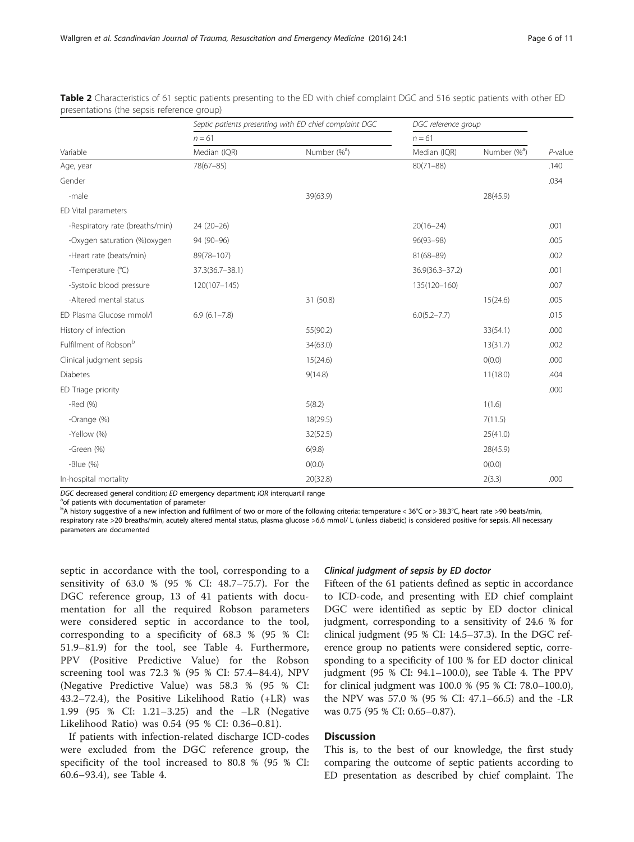|                                   |                  | Septic patients presenting with ED chief complaint DGC | DGC reference group |                          |            |
|-----------------------------------|------------------|--------------------------------------------------------|---------------------|--------------------------|------------|
|                                   | $n = 61$         |                                                        | $n = 61$            |                          |            |
| Variable                          | Median (IQR)     | Number (% <sup>a</sup> )                               | Median (IQR)        | Number (% <sup>a</sup> ) | $P$ -value |
| Age, year                         | 78(67-85)        |                                                        | $80(71 - 88)$       |                          | .140       |
| Gender                            |                  |                                                        |                     |                          | .034       |
| -male                             |                  | 39(63.9)                                               |                     | 28(45.9)                 |            |
| ED Vital parameters               |                  |                                                        |                     |                          |            |
| -Respiratory rate (breaths/min)   | $24(20-26)$      |                                                        | $20(16 - 24)$       |                          | .001       |
| -Oxygen saturation (%)oxygen      | 94 (90-96)       |                                                        | $96(93 - 98)$       |                          | .005       |
| -Heart rate (beats/min)           | 89(78-107)       |                                                        | $81(68 - 89)$       |                          | .002       |
| -Temperature (°C)                 | 37.3(36.7-38.1)  |                                                        | 36.9(36.3-37.2)     |                          | .001       |
| -Systolic blood pressure          | $120(107 - 145)$ |                                                        | 135(120-160)        |                          | .007       |
| -Altered mental status            |                  | 31 (50.8)                                              |                     | 15(24.6)                 | .005       |
| ED Plasma Glucose mmol/l          | $6.9(6.1 - 7.8)$ |                                                        | $6.0(5.2 - 7.7)$    |                          | .015       |
| History of infection              |                  | 55(90.2)                                               |                     | 33(54.1)                 | .000       |
| Fulfilment of Robson <sup>b</sup> |                  | 34(63.0)                                               |                     | 13(31.7)                 | .002       |
| Clinical judgment sepsis          |                  | 15(24.6)                                               |                     | O(0.0)                   | .000       |
| <b>Diabetes</b>                   |                  | 9(14.8)                                                |                     | 11(18.0)                 | .404       |
| ED Triage priority                |                  |                                                        |                     |                          | .000       |
| -Red $(%)$                        |                  | 5(8.2)                                                 |                     | 1(1.6)                   |            |
| -Orange (%)                       |                  | 18(29.5)                                               |                     | 7(11.5)                  |            |
| -Yellow (%)                       |                  | 32(52.5)                                               |                     | 25(41.0)                 |            |
| -Green (%)                        |                  | 6(9.8)                                                 |                     | 28(45.9)                 |            |
| -Blue $(%)$                       |                  | O(0.0)                                                 |                     | O(0.0)                   |            |
| In-hospital mortality             |                  | 20(32.8)                                               |                     | 2(3.3)                   | .000       |

<span id="page-5-0"></span>Table 2 Characteristics of 61 septic patients presenting to the ED with chief complaint DGC and 516 septic patients with other ED presentations (the sepsis reference group)

DGC decreased general condition; ED emergency department; IQR interquartil range

<sup>a</sup> of patients with documentation of parameter

b A history suggestive of a new infection and fulfilment of two or more of the following criteria: temperature < 36°C or > 38.3°C, heart rate >90 beats/min, respiratory rate >20 breaths/min, acutely altered mental status, plasma glucose >6.6 mmol/ L (unless diabetic) is considered positive for sepsis. All necessary parameters are documented

septic in accordance with the tool, corresponding to a sensitivity of 63.0 % (95 % CI: 48.7–75.7). For the DGC reference group, 13 of 41 patients with documentation for all the required Robson parameters were considered septic in accordance to the tool, corresponding to a specificity of 68.3 % (95 % CI: 51.9–81.9) for the tool, see Table [4](#page-7-0). Furthermore, PPV (Positive Predictive Value) for the Robson screening tool was 72.3 % (95 % CI: 57.4–84.4), NPV (Negative Predictive Value) was 58.3 % (95 % CI: 43.2–72.4), the Positive Likelihood Ratio (+LR) was 1.99 (95 % CI: 1.21–3.25) and the –LR (Negative Likelihood Ratio) was 0.54 (95 % CI: 0.36–0.81).

If patients with infection-related discharge ICD-codes were excluded from the DGC reference group, the specificity of the tool increased to 80.8 % (95 % CI: 60.6–93.4), see Table [4](#page-7-0).

## Clinical judgment of sepsis by ED doctor

Fifteen of the 61 patients defined as septic in accordance to ICD-code, and presenting with ED chief complaint DGC were identified as septic by ED doctor clinical judgment, corresponding to a sensitivity of 24.6 % for clinical judgment (95 % CI: 14.5–37.3). In the DGC reference group no patients were considered septic, corresponding to a specificity of 100 % for ED doctor clinical judgment (95 % CI: 94.1–100.0), see Table [4.](#page-7-0) The PPV for clinical judgment was 100.0 % (95 % CI: 78.0–100.0), the NPV was 57.0 % (95 % CI: 47.1–66.5) and the -LR was 0.75 (95 % CI: 0.65–0.87).

# **Discussion**

This is, to the best of our knowledge, the first study comparing the outcome of septic patients according to ED presentation as described by chief complaint. The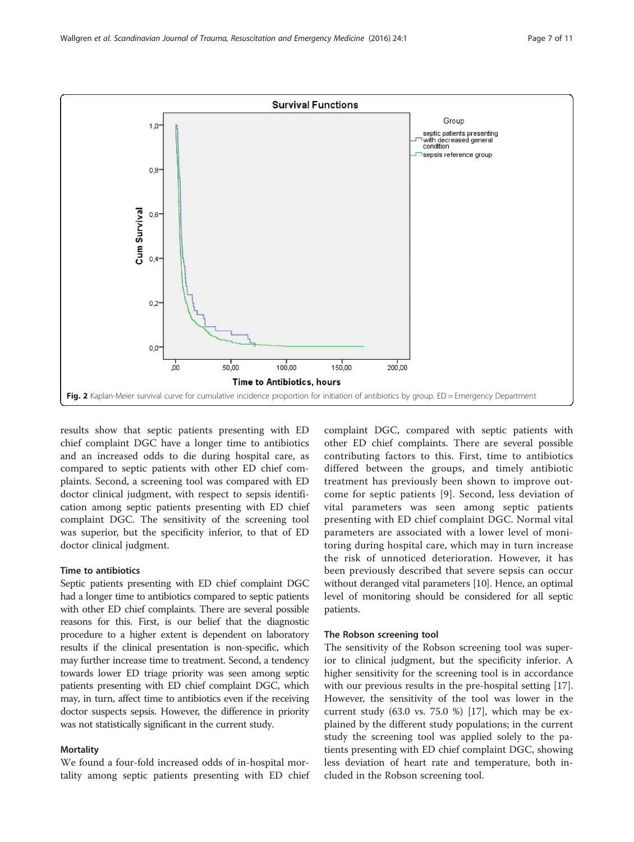<span id="page-6-0"></span>

results show that septic patients presenting with ED chief complaint DGC have a longer time to antibiotics and an increased odds to die during hospital care, as compared to septic patients with other ED chief complaints. Second, a screening tool was compared with ED doctor clinical judgment, with respect to sepsis identification among septic patients presenting with ED chief complaint DGC. The sensitivity of the screening tool was superior, but the specificity inferior, to that of ED doctor clinical judgment.

### Time to antibiotics

Septic patients presenting with ED chief complaint DGC had a longer time to antibiotics compared to septic patients with other ED chief complaints. There are several possible reasons for this. First, is our belief that the diagnostic procedure to a higher extent is dependent on laboratory results if the clinical presentation is non-specific, which may further increase time to treatment. Second, a tendency towards lower ED triage priority was seen among septic patients presenting with ED chief complaint DGC, which may, in turn, affect time to antibiotics even if the receiving doctor suspects sepsis. However, the difference in priority was not statistically significant in the current study.

# **Mortality**

We found a four-fold increased odds of in-hospital mortality among septic patients presenting with ED chief

complaint DGC, compared with septic patients with other ED chief complaints. There are several possible contributing factors to this. First, time to antibiotics differed between the groups, and timely antibiotic treatment has previously been shown to improve outcome for septic patients [[9\]](#page-9-0). Second, less deviation of vital parameters was seen among septic patients presenting with ED chief complaint DGC. Normal vital parameters are associated with a lower level of monitoring during hospital care, which may in turn increase the risk of unnoticed deterioration. However, it has been previously described that severe sepsis can occur without deranged vital parameters [\[10](#page-9-0)]. Hence, an optimal level of monitoring should be considered for all septic patients.

#### The Robson screening tool

The sensitivity of the Robson screening tool was superior to clinical judgment, but the specificity inferior. A higher sensitivity for the screening tool is in accordance with our previous results in the pre-hospital setting [\[17](#page-10-0)]. However, the sensitivity of the tool was lower in the current study (63.0 vs. 75.0 %) [[17\]](#page-10-0), which may be explained by the different study populations; in the current study the screening tool was applied solely to the patients presenting with ED chief complaint DGC, showing less deviation of heart rate and temperature, both included in the Robson screening tool.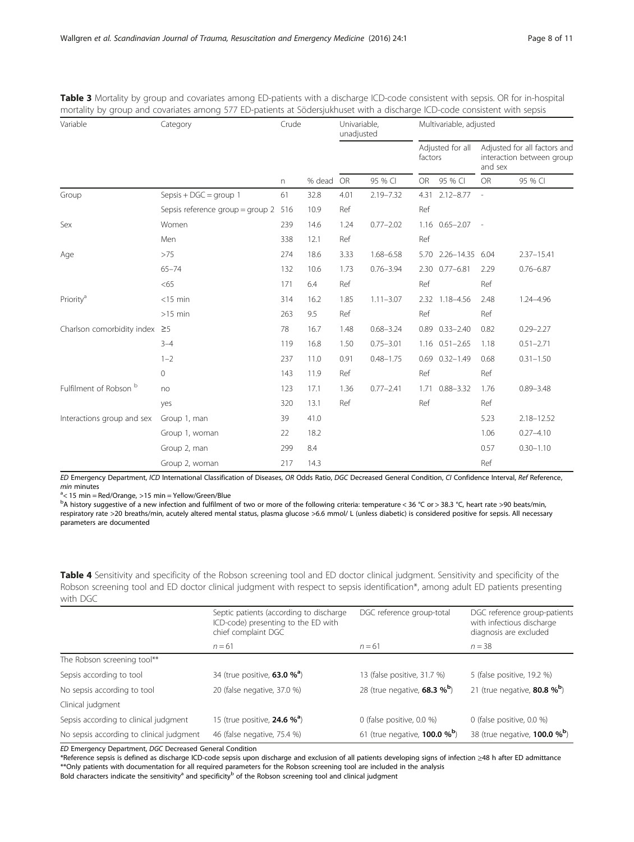| Variable                          | Category                         | Crude |        | Univariable,<br>unadjusted |               | mortality by group and covariates among 377 ED patients at souchsjunnasct with a discharge ICD could consistent with sepsis<br>Multivariable, adjusted |                      |                                                                      |                |
|-----------------------------------|----------------------------------|-------|--------|----------------------------|---------------|--------------------------------------------------------------------------------------------------------------------------------------------------------|----------------------|----------------------------------------------------------------------|----------------|
|                                   |                                  |       |        |                            |               | Adjusted for all<br>factors                                                                                                                            |                      | Adjusted for all factors and<br>interaction between group<br>and sex |                |
|                                   |                                  | n     | % dead | <b>OR</b>                  | 95 % CI       | <b>OR</b>                                                                                                                                              | 95 % CI              | <b>OR</b>                                                            | 95 % CI        |
| Group                             | Sepsis + $DGC = group 1$         | 61    | 32.8   | 4.01                       | $2.19 - 7.32$ | 4.31                                                                                                                                                   | $2.12 - 8.77$        | $\sim$                                                               |                |
|                                   | Sepsis reference group = group 2 | 516   | 10.9   | Ref                        |               | Ref                                                                                                                                                    |                      |                                                                      |                |
| Sex                               | Women                            | 239   | 14.6   | 1.24                       | $0.77 - 2.02$ |                                                                                                                                                        | 1.16 0.65-2.07       | $\overline{\phantom{a}}$                                             |                |
|                                   | Men                              | 338   | 12.1   | Ref                        |               | Ref                                                                                                                                                    |                      |                                                                      |                |
| Age                               | >75                              | 274   | 18.6   | 3.33                       | $1.68 - 6.58$ | 5.70                                                                                                                                                   | 2.26-14.35 6.04      |                                                                      | $2.37 - 15.41$ |
|                                   | $65 - 74$                        | 132   | 10.6   | 1.73                       | $0.76 - 3.94$ |                                                                                                                                                        | 2.30 0.77-6.81       | 2.29                                                                 | $0.76 - 6.87$  |
|                                   | <65                              | 171   | 6.4    | Ref                        |               | Ref                                                                                                                                                    |                      | Ref                                                                  |                |
| Priority <sup>a</sup>             | $<$ 15 min                       | 314   | 16.2   | 1.85                       | $1.11 - 3.07$ |                                                                                                                                                        | 2.32 1.18-4.56       | 2.48                                                                 | 1.24-4.96      |
|                                   | $>15$ min                        | 263   | 9.5    | Ref                        |               | Ref                                                                                                                                                    |                      | Ref                                                                  |                |
| Charlson comorbidity index        | $\geq$ 5                         | 78    | 16.7   | 1.48                       | $0.68 - 3.24$ |                                                                                                                                                        | $0.89$ $0.33 - 2.40$ | 0.82                                                                 | $0.29 - 2.27$  |
|                                   | $3 - 4$                          | 119   | 16.8   | 1.50                       | $0.75 - 3.01$ |                                                                                                                                                        | 1.16 0.51-2.65       | 1.18                                                                 | $0.51 - 2.71$  |
|                                   | $1 - 2$                          | 237   | 11.0   | 0.91                       | $0.48 - 1.75$ |                                                                                                                                                        | $0.69$ $0.32 - 1.49$ | 0.68                                                                 | $0.31 - 1.50$  |
|                                   | 0                                | 143   | 11.9   | Ref                        |               | Ref                                                                                                                                                    |                      | Ref                                                                  |                |
| Fulfilment of Robson <sup>b</sup> | no                               | 123   | 17.1   | 1.36                       | $0.77 - 2.41$ | 1.71                                                                                                                                                   | $0.88 - 3.32$        | 1.76                                                                 | $0.89 - 3.48$  |
|                                   | yes                              | 320   | 13.1   | Ref                        |               | Ref                                                                                                                                                    |                      | Ref                                                                  |                |
| Interactions group and sex        | Group 1, man                     | 39    | 41.0   |                            |               |                                                                                                                                                        |                      | 5.23                                                                 | $2.18 - 12.52$ |
|                                   | Group 1, woman                   | 22    | 18.2   |                            |               |                                                                                                                                                        |                      | 1.06                                                                 | $0.27 - 4.10$  |
|                                   | Group 2, man                     | 299   | 8.4    |                            |               |                                                                                                                                                        |                      | 0.57                                                                 | $0.30 - 1.10$  |
|                                   | Group 2, woman                   | 217   | 14.3   |                            |               |                                                                                                                                                        |                      | Ref                                                                  |                |

<span id="page-7-0"></span>Table 3 Mortality by group and covariates among ED-patients with a discharge ICD-code consistent with sepsis. OR for in-hospital mortality by group and covariates among 577 ED-patients at Södersjukhuset with a discharge ICD-code consistent with sepsis

ED Emergency Department, ICD International Classification of Diseases, OR Odds Ratio, DGC Decreased General Condition, CI Confidence Interval, Ref Reference,  $min$  minutes

 $a$  < 15 min = Red/Orange, >15 min = Yellow/Green/Blue

b<br>A history suggestive of a new infection and fulfilment of two or more of the following criteria: temperature < 36 °C or > 38.3 °C, heart rate >90 beats/min, respiratory rate >20 breaths/min, acutely altered mental status, plasma glucose >6.6 mmol/ L (unless diabetic) is considered positive for sepsis. All necessary parameters are documented

Table 4 Sensitivity and specificity of the Robson screening tool and ED doctor clinical judgment. Sensitivity and specificity of the Robson screening tool and ED doctor clinical judgment with respect to sepsis identification\*, among adult ED patients presenting with DGC

|                                          | Septic patients (according to discharge<br>ICD-code) presenting to the ED with<br>chief complaint DGC | DGC reference group-total                        | DGC reference group-patients<br>with infectious discharge<br>diagnosis are excluded |  |
|------------------------------------------|-------------------------------------------------------------------------------------------------------|--------------------------------------------------|-------------------------------------------------------------------------------------|--|
|                                          | $n = 61$                                                                                              | $n = 61$                                         | $n = 38$                                                                            |  |
| The Robson screening tool**              |                                                                                                       |                                                  |                                                                                     |  |
| Sepsis according to tool                 | 34 (true positive, <b>63.0 %<sup>a</sup>)</b>                                                         | 13 (false positive, 31.7 %)                      | 5 (false positive, 19.2 %)                                                          |  |
| No sepsis according to tool              | 20 (false negative, 37.0 %)                                                                           | 28 (true negative, 68.3 %b)                      | 21 (true negative, <b>80.8 %b)</b>                                                  |  |
| Clinical judgment                        |                                                                                                       |                                                  |                                                                                     |  |
| Sepsis according to clinical judgment    | 15 (true positive, <b>24.6 %<sup>a</sup>)</b>                                                         | 0 (false positive, 0.0 %)                        | 0 (false positive, 0.0 %)                                                           |  |
| No sepsis according to clinical judgment | 46 (false negative, 75.4 %)                                                                           | 61 (true negative, <b>100.0 %</b> <sup>b</sup> ) | 38 (true negative, 100.0 % <sup>b</sup> )                                           |  |

ED Emergency Department, DGC Decreased General Condition

\*Reference sepsis is defined as discharge ICD-code sepsis upon discharge and exclusion of all patients developing signs of infection ≥48 h after ED admittance \*\*Only patients with documentation for all required parameters for the Robson screening tool are included in the analysis

Bold characters indicate the sensitivity<sup>a</sup> and specificity<sup>b</sup> of the Robson screening tool and clinical judgment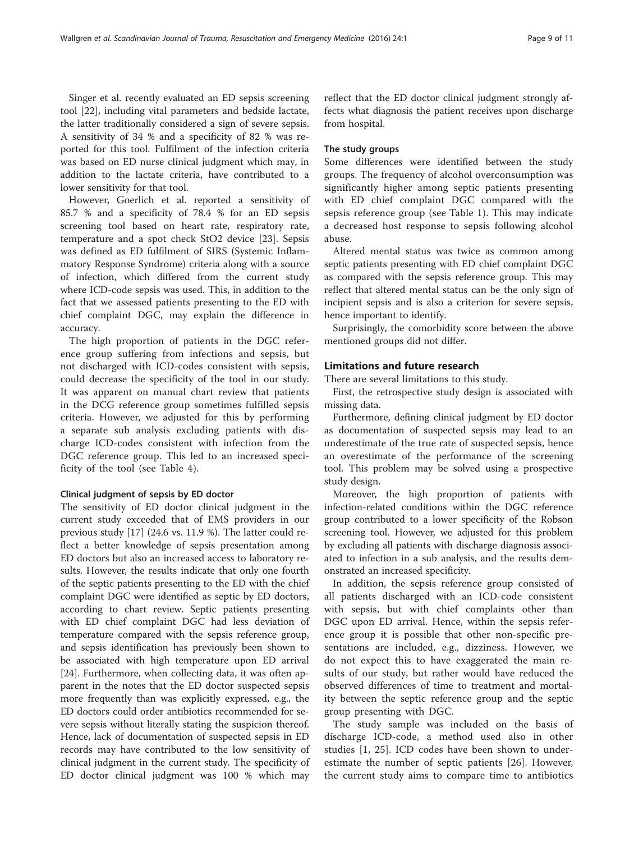Singer et al. recently evaluated an ED sepsis screening tool [\[22](#page-10-0)], including vital parameters and bedside lactate, the latter traditionally considered a sign of severe sepsis. A sensitivity of 34 % and a specificity of 82 % was reported for this tool. Fulfilment of the infection criteria was based on ED nurse clinical judgment which may, in addition to the lactate criteria, have contributed to a lower sensitivity for that tool.

However, Goerlich et al. reported a sensitivity of 85.7 % and a specificity of 78.4 % for an ED sepsis screening tool based on heart rate, respiratory rate, temperature and a spot check StO2 device [\[23](#page-10-0)]. Sepsis was defined as ED fulfilment of SIRS (Systemic Inflammatory Response Syndrome) criteria along with a source of infection, which differed from the current study where ICD-code sepsis was used. This, in addition to the fact that we assessed patients presenting to the ED with chief complaint DGC, may explain the difference in accuracy.

The high proportion of patients in the DGC reference group suffering from infections and sepsis, but not discharged with ICD-codes consistent with sepsis, could decrease the specificity of the tool in our study. It was apparent on manual chart review that patients in the DCG reference group sometimes fulfilled sepsis criteria. However, we adjusted for this by performing a separate sub analysis excluding patients with discharge ICD-codes consistent with infection from the DGC reference group. This led to an increased specificity of the tool (see Table [4](#page-7-0)).

#### Clinical judgment of sepsis by ED doctor

The sensitivity of ED doctor clinical judgment in the current study exceeded that of EMS providers in our previous study [\[17](#page-10-0)] (24.6 vs. 11.9 %). The latter could reflect a better knowledge of sepsis presentation among ED doctors but also an increased access to laboratory results. However, the results indicate that only one fourth of the septic patients presenting to the ED with the chief complaint DGC were identified as septic by ED doctors, according to chart review. Septic patients presenting with ED chief complaint DGC had less deviation of temperature compared with the sepsis reference group, and sepsis identification has previously been shown to be associated with high temperature upon ED arrival [[24\]](#page-10-0). Furthermore, when collecting data, it was often apparent in the notes that the ED doctor suspected sepsis more frequently than was explicitly expressed, e.g., the ED doctors could order antibiotics recommended for severe sepsis without literally stating the suspicion thereof. Hence, lack of documentation of suspected sepsis in ED records may have contributed to the low sensitivity of clinical judgment in the current study. The specificity of ED doctor clinical judgment was 100 % which may

reflect that the ED doctor clinical judgment strongly affects what diagnosis the patient receives upon discharge from hospital.

# The study groups

Some differences were identified between the study groups. The frequency of alcohol overconsumption was significantly higher among septic patients presenting with ED chief complaint DGC compared with the sepsis reference group (see Table [1\)](#page-4-0). This may indicate a decreased host response to sepsis following alcohol abuse.

Altered mental status was twice as common among septic patients presenting with ED chief complaint DGC as compared with the sepsis reference group. This may reflect that altered mental status can be the only sign of incipient sepsis and is also a criterion for severe sepsis, hence important to identify.

Surprisingly, the comorbidity score between the above mentioned groups did not differ.

## Limitations and future research

There are several limitations to this study.

First, the retrospective study design is associated with missing data.

Furthermore, defining clinical judgment by ED doctor as documentation of suspected sepsis may lead to an underestimate of the true rate of suspected sepsis, hence an overestimate of the performance of the screening tool. This problem may be solved using a prospective study design.

Moreover, the high proportion of patients with infection-related conditions within the DGC reference group contributed to a lower specificity of the Robson screening tool. However, we adjusted for this problem by excluding all patients with discharge diagnosis associated to infection in a sub analysis, and the results demonstrated an increased specificity.

In addition, the sepsis reference group consisted of all patients discharged with an ICD-code consistent with sepsis, but with chief complaints other than DGC upon ED arrival. Hence, within the sepsis reference group it is possible that other non-specific presentations are included, e.g., dizziness. However, we do not expect this to have exaggerated the main results of our study, but rather would have reduced the observed differences of time to treatment and mortality between the septic reference group and the septic group presenting with DGC.

The study sample was included on the basis of discharge ICD-code, a method used also in other studies [[1,](#page-9-0) [25](#page-10-0)]. ICD codes have been shown to underestimate the number of septic patients [[26\]](#page-10-0). However, the current study aims to compare time to antibiotics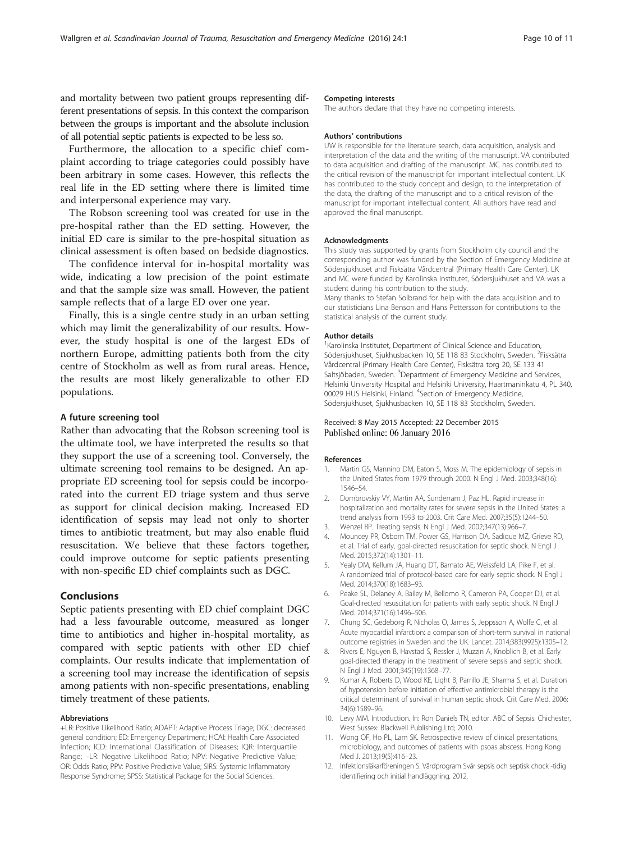<span id="page-9-0"></span>and mortality between two patient groups representing different presentations of sepsis. In this context the comparison between the groups is important and the absolute inclusion of all potential septic patients is expected to be less so.

Furthermore, the allocation to a specific chief complaint according to triage categories could possibly have been arbitrary in some cases. However, this reflects the real life in the ED setting where there is limited time and interpersonal experience may vary.

The Robson screening tool was created for use in the pre-hospital rather than the ED setting. However, the initial ED care is similar to the pre-hospital situation as clinical assessment is often based on bedside diagnostics.

The confidence interval for in-hospital mortality was wide, indicating a low precision of the point estimate and that the sample size was small. However, the patient sample reflects that of a large ED over one year.

Finally, this is a single centre study in an urban setting which may limit the generalizability of our results. However, the study hospital is one of the largest EDs of northern Europe, admitting patients both from the city centre of Stockholm as well as from rural areas. Hence, the results are most likely generalizable to other ED populations.

#### A future screening tool

Rather than advocating that the Robson screening tool is the ultimate tool, we have interpreted the results so that they support the use of a screening tool. Conversely, the ultimate screening tool remains to be designed. An appropriate ED screening tool for sepsis could be incorporated into the current ED triage system and thus serve as support for clinical decision making. Increased ED identification of sepsis may lead not only to shorter times to antibiotic treatment, but may also enable fluid resuscitation. We believe that these factors together, could improve outcome for septic patients presenting with non-specific ED chief complaints such as DGC.

#### Conclusions

Septic patients presenting with ED chief complaint DGC had a less favourable outcome, measured as longer time to antibiotics and higher in-hospital mortality, as compared with septic patients with other ED chief complaints. Our results indicate that implementation of a screening tool may increase the identification of sepsis among patients with non-specific presentations, enabling timely treatment of these patients.

#### Abbreviations

+LR: Positive Likelihood Ratio; ADAPT: Adaptive Process Triage; DGC: decreased general condition; ED: Emergency Department; HCAI: Health Care Associated Infection; ICD: International Classification of Diseases; IQR: Interquartile Range; –LR: Negative Likelihood Ratio; NPV: Negative Predictive Value; OR: Odds Ratio; PPV: Positive Predictive Value; SIRS: Systemic Inflammatory Response Syndrome; SPSS: Statistical Package for the Social Sciences.

#### Competing interests

The authors declare that they have no competing interests.

#### Authors' contributions

UW is responsible for the literature search, data acquisition, analysis and interpretation of the data and the writing of the manuscript. VA contributed to data acquisition and drafting of the manuscript. MC has contributed to the critical revision of the manuscript for important intellectual content. LK has contributed to the study concept and design, to the interpretation of the data, the drafting of the manuscript and to a critical revision of the manuscript for important intellectual content. All authors have read and approved the final manuscript.

#### Acknowledgments

This study was supported by grants from Stockholm city council and the corresponding author was funded by the Section of Emergency Medicine at Södersjukhuset and Fisksätra Vårdcentral (Primary Health Care Center). LK and MC were funded by Karolinska Institutet, Södersjukhuset and VA was a student during his contribution to the study.

Many thanks to Stefan Solbrand for help with the data acquisition and to our statisticians Lina Benson and Hans Pettersson for contributions to the statistical analysis of the current study.

#### Author details

<sup>1</sup> Karolinska Institutet, Department of Clinical Science and Education, Södersjukhuset, Sjukhusbacken 10, SE 118 83 Stockholm, Sweden. <sup>2</sup>Fisksätra Vårdcentral (Primary Health Care Center), Fisksätra torg 20, SE 133 41 Saltsjöbaden, Sweden. <sup>3</sup>Department of Emergency Medicine and Services, Helsinki University Hospital and Helsinki University, Haartmaninkatu 4, PL 340, 00029 HUS Helsinki, Finland. <sup>4</sup>Section of Emergency Medicine, Södersjukhuset, Sjukhusbacken 10, SE 118 83 Stockholm, Sweden.

#### Received: 8 May 2015 Accepted: 22 December 2015 Published online: 06 January 2016

#### References

- 1. Martin GS, Mannino DM, Eaton S, Moss M. The epidemiology of sepsis in the United States from 1979 through 2000. N Engl J Med. 2003;348(16): 1546–54.
- 2. Dombrovskiy VY, Martin AA, Sunderram J, Paz HL. Rapid increase in hospitalization and mortality rates for severe sepsis in the United States: a trend analysis from 1993 to 2003. Crit Care Med. 2007;35(5):1244–50.
- 3. Wenzel RP. Treating sepsis. N Engl J Med. 2002;347(13):966–7.
- 4. Mouncey PR, Osborn TM, Power GS, Harrison DA, Sadique MZ, Grieve RD, et al. Trial of early, goal-directed resuscitation for septic shock. N Engl J Med. 2015;372(14):1301–11.
- 5. Yealy DM, Kellum JA, Huang DT, Barnato AE, Weissfeld LA, Pike F, et al. A randomized trial of protocol-based care for early septic shock. N Engl J Med. 2014;370(18):1683–93.
- 6. Peake SL, Delaney A, Bailey M, Bellomo R, Cameron PA, Cooper DJ, et al. Goal-directed resuscitation for patients with early septic shock. N Engl J Med. 2014;371(16):1496–506.
- 7. Chung SC, Gedeborg R, Nicholas O, James S, Jeppsson A, Wolfe C, et al. Acute myocardial infarction: a comparison of short-term survival in national outcome registries in Sweden and the UK. Lancet. 2014;383(9925):1305–12.
- 8. Rivers E, Nguyen B, Havstad S, Ressler J, Muzzin A, Knoblich B, et al. Early goal-directed therapy in the treatment of severe sepsis and septic shock. N Engl J Med. 2001;345(19):1368–77.
- 9. Kumar A, Roberts D, Wood KE, Light B, Parrillo JE, Sharma S, et al. Duration of hypotension before initiation of effective antimicrobial therapy is the critical determinant of survival in human septic shock. Crit Care Med. 2006; 34(6):1589–96.
- 10. Levy MM. Introduction. In: Ron Daniels TN, editor. ABC of Sepsis. Chichester, West Sussex: Blackwell Publishing Ltd; 2010.
- 11. Wong OF, Ho PL, Lam SK. Retrospective review of clinical presentations, microbiology, and outcomes of patients with psoas abscess. Hong Kong Med J. 2013;19(5):416–23.
- 12. Infektionsläkarföreningen S. Vårdprogram Svår sepsis och septisk chock -tidig identifiering och initial handläggning. 2012.